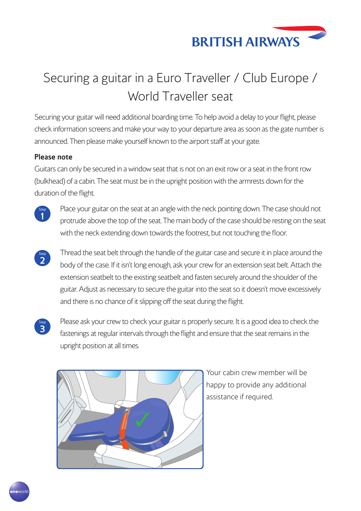

## Securing a guitar in a Euro Traveller / Club Europe / World Traveller seat

Securing your guitar will need additional boarding time. To help avoid a delay to your flight, please check information screens and make your way to your departure area as soon as the gate number is announced. Then please make yourself known to the airport staff at your gate.

## **Please note**

Guitars can only be secured in a window seat that is not on an exit row or a seat in the front row (bulkhead) of a cabin. The seat must be in the upright position with the armrests down for the duration of the flight.



**<sup>1</sup>** Place your guitar on the seat at an angle with the neck pointing down. The case should not protrude above the top of the seat. The main body of the case should be resting on the seat with the neck extending down towards the footrest, but not touching the floor.

- $\overline{\mathbf{2}}$ **<sup>2</sup>** Thread the seat belt through the handle of the guitar case and secure it in place around the body of the case. If it isn't long enough, ask your crew for an extension seat belt. Attach the extension seatbelt to the existing seatbelt and fasten securely around the shoulder of the guitar. Adjust as necessary to secure the guitar into the seat so it doesn't move excessively and there is no chance of it slipping off the seat during the flight.
- Step<br>3

**<sup>3</sup>** Please ask your crew to check your guitar is properly secure. It is a good idea to check the fastenings at regular intervals through the flight and ensure that the seat remains in the upright position at all times.



Your cabin crew member will be happy to provide any additional assistance if required.